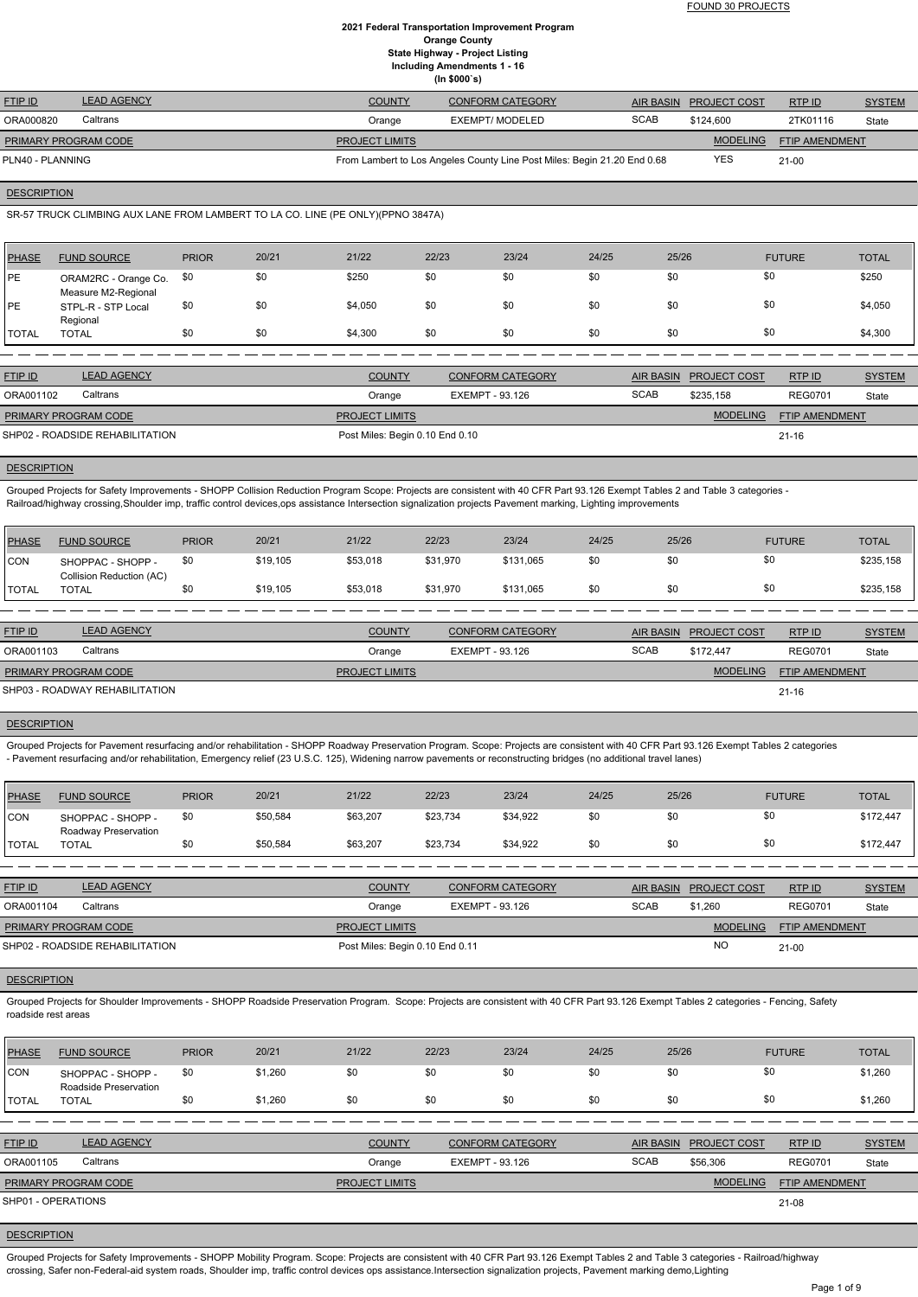FOUND 30 PROJECTS

#### **2021 Federal Transportation Improvement Program Orange County State Highway - Project Listing Including Amendments 1 - 16 (In \$000`s)**

| <b>FTIP ID</b>              | <b>LEAD AGENCY</b> | <b>COUNTY</b>         | <b>CONFORM CATEGORY</b>                                                  |             | AIR BASIN PROJECT COST | RTPID                 | <b>SYSTEM</b> |
|-----------------------------|--------------------|-----------------------|--------------------------------------------------------------------------|-------------|------------------------|-----------------------|---------------|
| ORA000820                   | Caltrans           | Orange                | EXEMPT/ MODELED                                                          | <b>SCAB</b> | \$124,600              | 2TK01116              | State         |
| <b>PRIMARY PROGRAM CODE</b> |                    | <b>PROJECT LIMITS</b> |                                                                          |             | <b>MODELING</b>        | <b>FTIP AMENDMENT</b> |               |
| PLN40 - PLANNING            |                    |                       | From Lambert to Los Angeles County Line Post Miles: Begin 21.20 End 0.68 |             | <b>YES</b>             | $21 - 00$             |               |

**DESCRIPTION** 

SR-57 TRUCK CLIMBING AUX LANE FROM LAMBERT TO LA CO. LINE (PE ONLY)(PPNO 3847A)

| <b>PHASE</b>  | <b>FUND SOURCE</b>                          | <b>PRIOR</b> | 20/21 | 21/22   | 22/23 | 23/24 | 24/25 | 25/26 | <b>FUTURE</b> | <b>TOTAL</b> |
|---------------|---------------------------------------------|--------------|-------|---------|-------|-------|-------|-------|---------------|--------------|
| <b>IPE</b>    | ORAM2RC - Orange Co.<br>Measure M2-Regional | \$0          | \$0   | \$250   | \$0   | \$0   | \$0   | \$0   | \$0           | \$250        |
| <b>IPE</b>    | STPL-R - STP Local<br>Regional              | \$0          | \$0   | \$4,050 | \$0   | \$0   | \$0   | \$0   | \$0           | \$4,050      |
| <b>ITOTAL</b> | <b>TOTAL</b>                                | \$0          | \$0   | \$4,300 | \$0   | \$0   | \$0   | \$0   | \$0           | \$4,300      |

| <b>FTIP ID</b>                  | <b>LEAD AGENCY</b> | <b>COUNTY</b>                   | <b>CONFORM CATEGORY</b> | <b>AIR BASIN</b> | <b>PROJECT COST</b> | RTP ID                | <b>SYSTEM</b> |
|---------------------------------|--------------------|---------------------------------|-------------------------|------------------|---------------------|-----------------------|---------------|
| ORA001102                       | Caltrans           | Orange                          | EXEMPT - 93.126         | <b>SCAB</b>      | \$235.158           | <b>REG0701</b>        | State         |
| <b>PRIMARY PROGRAM CODE</b>     |                    | <b>PROJECT LIMITS</b>           |                         |                  | <b>MODELING</b>     | <b>FTIP AMENDMENT</b> |               |
| SHP02 - ROADSIDE REHABILITATION |                    | Post Miles: Begin 0.10 End 0.10 |                         |                  |                     | $21 - 16$             |               |

Grouped Projects for Pavement resurfacing and/or rehabilitation - SHOPP Roadway Preservation Program. Scope: Projects are consistent with 40 CFR Part 93.126 Exempt Tables 2 categories - Pavement resurfacing and/or rehabilitation, Emergency relief (23 U.S.C. 125), Widening narrow pavements or reconstructing bridges (no additional travel lanes)

#### **DESCRIPTION**

Grouped Projects for Safety Improvements - SHOPP Collision Reduction Program Scope: Projects are consistent with 40 CFR Part 93.126 Exempt Tables 2 and Table 3 categories - Railroad/highway crossing,Shoulder imp, traffic control devices,ops assistance Intersection signalization projects Pavement marking, Lighting improvements

| PHASE        | <b>FUND SOURCE</b>                            | <b>PRIOR</b> | 20/21    | 21/22                 | 22/23           | 23/24                   | 24/25 | 25/26            |                     | <b>FUTURE</b>         | <b>TOTAL</b>  |
|--------------|-----------------------------------------------|--------------|----------|-----------------------|-----------------|-------------------------|-------|------------------|---------------------|-----------------------|---------------|
| <b>CON</b>   | SHOPPAC - SHOPP -<br>Collision Reduction (AC) | \$0          | \$19,105 | \$53,018              | \$31,970        | \$131,065               | \$0   | \$0              | \$0                 |                       | \$235,158     |
| <b>TOTAL</b> | <b>TOTAL</b>                                  | \$0          | \$19,105 | \$53,018              | \$31,970        | \$131,065               | \$0   | \$0              | \$0                 |                       | \$235,158     |
|              |                                               |              |          |                       |                 |                         |       |                  |                     |                       |               |
| FTIP ID      | <b>LEAD AGENCY</b>                            |              |          | <b>COUNTY</b>         |                 | <b>CONFORM CATEGORY</b> |       | <b>AIR BASIN</b> | <b>PROJECT COST</b> | RTPID                 | <b>SYSTEM</b> |
| ORA001103    | Caltrans                                      |              |          | Orange                | EXEMPT - 93.126 |                         |       | <b>SCAB</b>      | \$172.447           | <b>REG0701</b>        | State         |
|              | PRIMARY PROGRAM CODE                          |              |          | <b>PROJECT LIMITS</b> |                 |                         |       |                  | <b>MODELING</b>     | <b>FTIP AMENDMENT</b> |               |
|              | SHP03 - ROADWAY REHABILITATION                |              |          |                       |                 |                         |       |                  |                     | $21 - 16$             |               |
|              |                                               |              |          |                       |                 |                         |       |                  |                     |                       |               |

#### **DESCRIPTION**

| <b>PHASE</b> | <b>FUND SOURCE</b>                        | <b>PRIOR</b> | 20/21    | 21/22    | 22/23    | 23/24    | 24/25 | 25/26 | <b>FUTURE</b> | <b>TOTAL</b> |
|--------------|-------------------------------------------|--------------|----------|----------|----------|----------|-------|-------|---------------|--------------|
| CON          | SHOPPAC - SHOPP -<br>Roadway Preservation | \$0          | \$50,584 | \$63,207 | \$23,734 | \$34,922 | \$0   | \$0   |               | \$172,447    |
| I TOTAL      | <b>TOTAL</b>                              |              | \$50,584 | \$63,207 | \$23,734 | \$34,922 | \$0   | \$0   | \$0           | \$172,447    |

| <b>FTIP ID</b>                  | <b>LEAD AGENCY</b> | <b>COUNTY</b>                   | <b>CONFORM CATEGORY</b> |             | AIR BASIN PROJECT COST | RTPID                 | <b>SYSTEM</b> |
|---------------------------------|--------------------|---------------------------------|-------------------------|-------------|------------------------|-----------------------|---------------|
| ORA001104                       | Caltrans           | Orange                          | EXEMPT - 93.126         | <b>SCAB</b> | \$1.260                | <b>REG0701</b>        | State         |
| <b>PRIMARY PROGRAM CODE</b>     |                    | <b>PROJECT LIMITS</b>           |                         |             | <b>MODELING</b>        | <b>FTIP AMENDMENT</b> |               |
| SHP02 - ROADSIDE REHABILITATION |                    | Post Miles: Begin 0.10 End 0.11 |                         |             | <b>NC</b>              | $21 - 00$             |               |

Grouped Projects for Shoulder Improvements - SHOPP Roadside Preservation Program. Scope: Projects are consistent with 40 CFR Part 93.126 Exempt Tables 2 categories - Fencing, Safety roadside rest areas

| <b>PHASE</b> | <b>FUND SOURCE</b>                         | <b>PRIOR</b> | 20/21   | 21/22 | 22/23 | 23/24 | 24/25 | 25/26 | <b>FUTURE</b> | <b>TOTAL</b> |
|--------------|--------------------------------------------|--------------|---------|-------|-------|-------|-------|-------|---------------|--------------|
| CON          | SHOPPAC - SHOPP -<br>Roadside Preservation | \$0          | \$1,260 | \$0   | \$0   |       |       |       | \$0           | \$1,260      |
| <b>TOTAL</b> | <b>TOTAL</b>                               | \$0          | \$1,260 | \$0   | \$0   | \$0   |       |       | \$0           | \$1,260      |

| <b>FTIP ID</b>              | <b>LEAD AGENCY</b> | <b>COUNTY</b>         | <b>CONFORM CATEGORY</b> | AIR BASIN   | <b>PROJECT COST</b> | RTP ID                | <b>SYSTEM</b> |
|-----------------------------|--------------------|-----------------------|-------------------------|-------------|---------------------|-----------------------|---------------|
| ORA001105                   | Caltrans           | Orange                | EXEMPT - 93.126         | <b>SCAB</b> | \$56,306            | <b>REG0701</b>        | State         |
| <b>PRIMARY PROGRAM CODE</b> |                    | <b>PROJECT LIMITS</b> |                         |             | <b>MODELING</b>     | <b>FTIP AMENDMENT</b> |               |
| SHP01 - OPERATIONS          |                    |                       |                         |             |                     | 21-08                 |               |

#### **DESCRIPTION**

Grouped Projects for Safety Improvements - SHOPP Mobility Program. Scope: Projects are consistent with 40 CFR Part 93.126 Exempt Tables 2 and Table 3 categories - Railroad/highway crossing, Safer non-Federal-aid system roads, Shoulder imp, traffic control devices ops assistance.Intersection signalization projects, Pavement marking demo,Lighting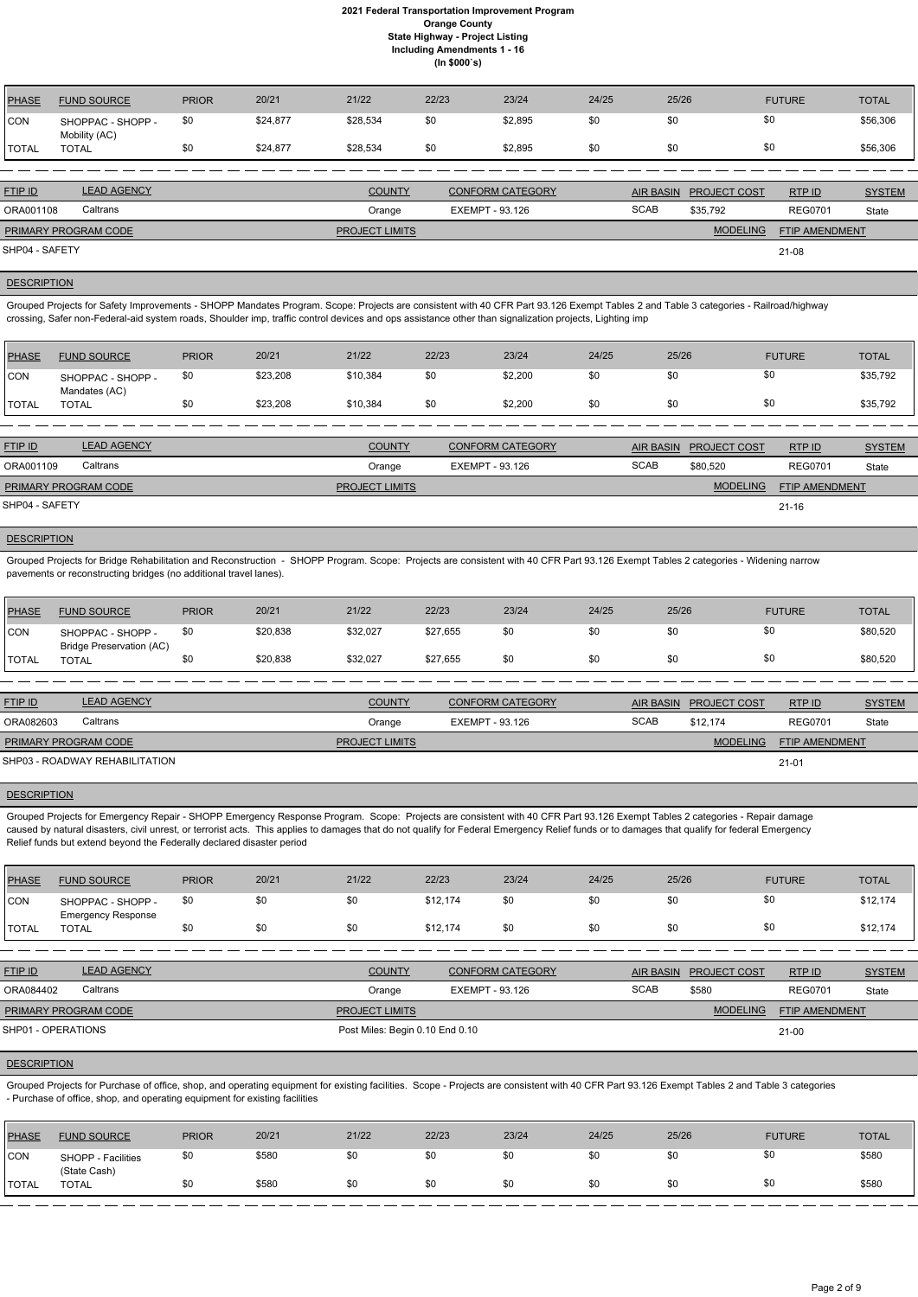| PHASE          | <b>FUND SOURCE</b>                 | <b>PRIOR</b> | 20/21    | 21/22                 | 22/23           | 23/24                   | 24/25 | 25/26            |                     | <b>FUTURE</b>         | <b>TOTAL</b>  |
|----------------|------------------------------------|--------------|----------|-----------------------|-----------------|-------------------------|-------|------------------|---------------------|-----------------------|---------------|
| <b>CON</b>     | SHOPPAC - SHOPP -<br>Mobility (AC) | \$0          | \$24,877 | \$28,534              | \$0             | \$2,895                 | \$0   | \$0              |                     | \$0                   | \$56,306      |
| <b>TOTAL</b>   | <b>TOTAL</b>                       | \$0          | \$24,877 | \$28,534              | \$0             | \$2,895                 | \$0   | \$0              |                     | \$0                   | \$56,306      |
|                |                                    |              |          |                       |                 |                         |       |                  |                     |                       |               |
| FTIP ID        | <b>LEAD AGENCY</b>                 |              |          | <b>COUNTY</b>         |                 | <b>CONFORM CATEGORY</b> |       | <b>AIR BASIN</b> | <b>PROJECT COST</b> | RTP ID                | <b>SYSTEM</b> |
| ORA001108      | Caltrans                           |              |          | Orange                | EXEMPT - 93.126 |                         |       | <b>SCAB</b>      | \$35,792            | <b>REG0701</b>        | State         |
|                | PRIMARY PROGRAM CODE               |              |          | <b>PROJECT LIMITS</b> |                 |                         |       |                  | <b>MODELING</b>     | <b>FTIP AMENDMENT</b> |               |
| SHP04 - SAFETY |                                    |              |          |                       |                 |                         |       |                  |                     | $21 - 08$             |               |

## **DESCRIPTION**

Grouped Projects for Safety Improvements - SHOPP Mandates Program. Scope: Projects are consistent with 40 CFR Part 93.126 Exempt Tables 2 and Table 3 categories - Railroad/highway crossing, Safer non-Federal-aid system roads, Shoulder imp, traffic control devices and ops assistance other than signalization projects, Lighting imp

| PHASE          | <b>FUND SOURCE</b>                 | <b>PRIOR</b> | 20/21    | 21/22                 | 22/23 | 23/24                   | 24/25 | 25/26            |                     | <b>FUTURE</b>  | <b>TOTAL</b>  |
|----------------|------------------------------------|--------------|----------|-----------------------|-------|-------------------------|-------|------------------|---------------------|----------------|---------------|
| CON            | SHOPPAC - SHOPP -<br>Mandates (AC) | \$0          | \$23,208 | \$10,384              | \$0   | \$2,200                 | \$0   | \$0              | \$0                 |                | \$35,792      |
| <b>TOTAL</b>   | <b>TOTAL</b>                       | \$0          | \$23,208 | \$10,384              | \$0   | \$2,200                 | \$0   | \$0              | \$0                 |                | \$35,792      |
|                |                                    |              |          |                       |       |                         |       |                  |                     |                |               |
| <b>FTIP ID</b> | <b>LEAD AGENCY</b>                 |              |          | <b>COUNTY</b>         |       | <b>CONFORM CATEGORY</b> |       | <b>AIR BASIN</b> | <b>PROJECT COST</b> | RTP ID         | <b>SYSTEM</b> |
| ORA001109      | Caltrans                           |              |          | Orange                |       | EXEMPT - 93.126         |       | <b>SCAB</b>      | \$80,520            | <b>REG0701</b> | State         |
|                | PRIMARY PROGRAM CODE               |              |          | <b>PROJECT LIMITS</b> |       |                         |       |                  | <b>MODELING</b>     | FTIP AMENDMENT |               |
| SHP04 - SAFETY |                                    |              |          |                       |       |                         |       |                  |                     | $21 - 16$      |               |
|                |                                    |              |          |                       |       |                         |       |                  |                     |                |               |

## **DESCRIPTION**

Grouped Projects for Bridge Rehabilitation and Reconstruction - SHOPP Program. Scope: Projects are consistent with 40 CFR Part 93.126 Exempt Tables 2 categories - Widening narrow pavements or reconstructing bridges (no additional travel lanes).

Grouped Projects for Purchase of office, shop, and operating equipment for existing facilities. Scope - Projects are consistent with 40 CFR Part 93.126 Exempt Tables 2 and Table 3 categories - Purchase of office, shop, and operating equipment for existing facilities

| <b>PHASE</b>  | <b>FUND SOURCE</b>                                   | <b>PRIOR</b> | 20/21    | 21/22    | 22/23    | 23/24 | 24/25 | 25/26 | <b>FUTURE</b> | <b>TOTAL</b> |
|---------------|------------------------------------------------------|--------------|----------|----------|----------|-------|-------|-------|---------------|--------------|
| <b>CON</b>    | SHOPPAC - SHOPP -<br><b>Bridge Preservation (AC)</b> |              | \$20,838 | \$32,027 | \$27,655 | \$0   | \$0   |       | \$0           | \$80,520     |
| <b>ITOTAL</b> | TOTAL                                                |              | \$20,838 | \$32,027 | \$27,655 | \$0   | \$0   | ৬০    | \$0           | \$80,520     |

| <b>FTIP ID</b>              | <b>LEAD AGENCY</b>             | <b>COUNTY</b>         | <b>CONFORM CATEGORY</b> |             | AIR BASIN PROJECT COST | RTPID                 | <b>SYSTEM</b> |
|-----------------------------|--------------------------------|-----------------------|-------------------------|-------------|------------------------|-----------------------|---------------|
| ORA082603                   | Caltrans                       | Orange                | EXEMPT - 93.126         | <b>SCAB</b> | \$12.174               | <b>REG0701</b>        | State         |
| <b>PRIMARY PROGRAM CODE</b> |                                | <b>PROJECT LIMITS</b> |                         |             | MODELING               | <b>FTIP AMENDMENT</b> |               |
|                             | SHP03 - ROADWAY REHABILITATION |                       |                         |             |                        | $21 - 01$             |               |

#### **DESCRIPTION**

Grouped Projects for Emergency Repair - SHOPP Emergency Response Program. Scope: Projects are consistent with 40 CFR Part 93.126 Exempt Tables 2 categories - Repair damage caused by natural disasters, civil unrest, or terrorist acts. This applies to damages that do not qualify for Federal Emergency Relief funds or to damages that qualify for federal Emergency Relief funds but extend beyond the Federally declared disaster period

| PHASE          | <b>FUND SOURCE</b>                             | <b>PRIOR</b> | 20/21 | 21/22 | 22/23    | 23/24 | 24/25 | 25/26 | <b>FUTURE</b> | <b>TOTAL</b> |
|----------------|------------------------------------------------|--------------|-------|-------|----------|-------|-------|-------|---------------|--------------|
| <b>ICON</b>    | SHOPPAC - SHOPP -<br><b>Emergency Response</b> | \$0          |       | \$0   | \$12,174 | \$0   | \$0   | \$0   |               | \$12,174     |
| <b>I</b> TOTAL | <b>TOTAL</b>                                   |              | \$0   | \$0   | \$12.174 | \$0   | \$0   | \$0   | \$0           | \$12,174     |

| FTIP ID | <b>LEAD AGENCY</b><br>- IV V | <b>COUNTY</b> | <b>CONFORM CATEGORY</b> | <b>AIR BASIN</b> | <b>PROJECT COST</b> | RTP ID | $\sim$ $\sim$ $\sim$ $\sim$ $\sim$ $\sim$ |
|---------|------------------------------|---------------|-------------------------|------------------|---------------------|--------|-------------------------------------------|

| Caltrans<br>ORA084402       | Orange                          | EXEMPT - 93.126 | <b>SCAB</b> | \$580    | <b>REG0701</b>        | State |
|-----------------------------|---------------------------------|-----------------|-------------|----------|-----------------------|-------|
| <b>PRIMARY PROGRAM CODE</b> | <b>PROJECT LIMITS</b>           |                 |             | MODELING | <b>FTIP AMENDMENT</b> |       |
| SHP01 - OPERATIONS          | Post Miles: Begin 0.10 End 0.10 |                 |             |          | $21 - 00$             |       |

#### **DESCRIPTION**

| PHASE        | <b>FUND SOURCE</b>                 | <b>PRIOR</b> | 20/21 | 21/22 | 22/23 | 23/24 | 24/25 | 25/26 | <b>FUTURE</b> | <b>TOTAL</b> |
|--------------|------------------------------------|--------------|-------|-------|-------|-------|-------|-------|---------------|--------------|
| <b>CON</b>   | SHOPP - Facilities<br>(State Cash) | \$0          | \$580 | \$0   | \$0   | \$0   | \$0   |       |               | \$580        |
| <b>TOTAL</b> | TOTAL                              | \$0          | \$580 | \$0   | \$0   | \$0   | \$0   |       |               | \$580        |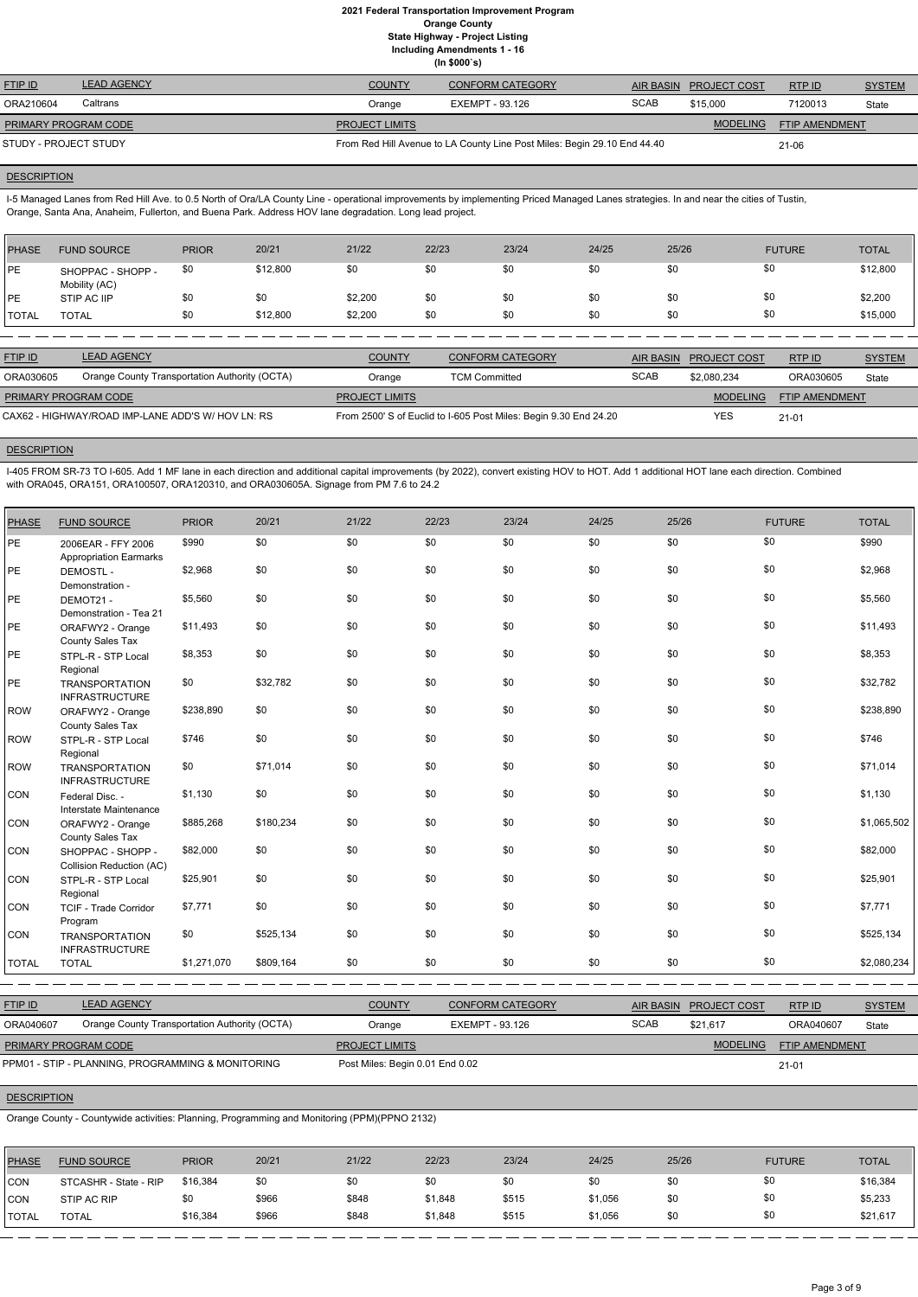|                             | (ln \$000's)       |                       |                                                                          |             |                        |                |               |  |  |  |
|-----------------------------|--------------------|-----------------------|--------------------------------------------------------------------------|-------------|------------------------|----------------|---------------|--|--|--|
| <b>FTIP ID</b>              | <b>LEAD AGENCY</b> | <b>COUNTY</b>         | <b>CONFORM CATEGORY</b>                                                  |             | AIR BASIN PROJECT COST | RTPID          | <b>SYSTEM</b> |  |  |  |
| ORA210604                   | Caltrans           | Orange                | EXEMPT - 93.126                                                          | <b>SCAB</b> | \$15,000               | 7120013        | State         |  |  |  |
| <b>PRIMARY PROGRAM CODE</b> |                    | <b>PROJECT LIMITS</b> |                                                                          |             | <b>MODELING</b>        | FTIP AMENDMENT |               |  |  |  |
| STUDY - PROJECT STUDY       |                    |                       | From Red Hill Avenue to LA County Line Post Miles: Begin 29.10 End 44.40 |             |                        | $21 - 06$      |               |  |  |  |

#### **DESCRIPTION**

I-5 Managed Lanes from Red Hill Ave. to 0.5 North of Ora/LA County Line - operational improvements by implementing Priced Managed Lanes strategies. In and near the cities of Tustin, Orange, Santa Ana, Anaheim, Fullerton, and Buena Park. Address HOV lane degradation. Long lead project.

I-405 FROM SR-73 TO I-605. Add 1 MF lane in each direction and additional capital improvements (by 2022), convert existing HOV to HOT. Add 1 additional HOT lane each direction. Combined with ORA045, ORA151, ORA100507, ORA120310, and ORA030605A. Signage from PM 7.6 to 24.2

| PHASE        | <b>FUND SOURCE</b>                 | <b>PRIOR</b> | 20/21    | 21/22   | 22/23 | 23/24 | 24/25 | 25/26 | <b>FUTURE</b> | <b>TOTAL</b> |
|--------------|------------------------------------|--------------|----------|---------|-------|-------|-------|-------|---------------|--------------|
| <b>IPE</b>   | SHOPPAC - SHOPP -<br>Mobility (AC) | \$0          | \$12,800 | \$0     | \$0   | \$0   | \$0   | \$0   | \$0           | \$12,800     |
| <b>IPE</b>   | STIP AC IIP                        | \$0          | \$0      | \$2,200 | \$0   | \$0   | \$0   | \$0   | \$0           | \$2,200      |
| <b>TOTAL</b> | <b>TOTAL</b>                       | \$0          | \$12,800 | \$2,200 | \$0   | \$0   | \$0   | \$0   | \$0           | \$15,000     |
|              |                                    |              |          |         |       |       |       |       |               |              |

| <b>FTIP ID</b>                                    | <b>LEAD AGENCY</b>                            | <b>COUNTY</b>                                                    | <b>CONFORM CATEGORY</b> | AIR BASIN   | <b>PROJECT COST</b> | RTP ID                | <b>SYSTEM</b> |
|---------------------------------------------------|-----------------------------------------------|------------------------------------------------------------------|-------------------------|-------------|---------------------|-----------------------|---------------|
| ORA030605                                         | Orange County Transportation Authority (OCTA) | Orange                                                           | <b>TCM Committed</b>    | <b>SCAB</b> | \$2.080.234         | ORA030605             | State         |
| <b>PRIMARY PROGRAM CODE</b>                       |                                               | <b>PROJECT LIMITS</b>                                            |                         |             | <b>MODELING</b>     | <b>FTIP AMENDMENT</b> |               |
| CAX62 - HIGHWAY/ROAD IMP-LANE ADD'S W/ HOV LN: RS |                                               | From 2500' S of Euclid to I-605 Post Miles: Begin 9.30 End 24.20 |                         | YES         | $21 - 01$           |                       |               |

### **DESCRIPTION**

| <b>PHASE</b> | <b>FUND SOURCE</b>                                  | <b>PRIOR</b> | 20/21     | 21/22 | 22/23 | 23/24 | 24/25 | 25/26 | <b>FUTURE</b> | <b>TOTAL</b> |
|--------------|-----------------------------------------------------|--------------|-----------|-------|-------|-------|-------|-------|---------------|--------------|
| PE           | 2006EAR - FFY 2006<br><b>Appropriation Earmarks</b> | \$990        | \$0       | \$0   | \$0   | \$0   | \$0   | \$0   | \$0           | \$990        |
| PE           | <b>DEMOSTL-</b><br>Demonstration -                  | \$2,968      | \$0       | \$0   | \$0   | \$0   | \$0   | \$0   | \$0           | \$2,968      |
| PE           | DEMOT21-<br>Demonstration - Tea 21                  | \$5,560      | \$0       | \$0   | \$0   | \$0   | \$0   | \$0   | \$0           | \$5,560      |
| PE           | ORAFWY2 - Orange<br>County Sales Tax                | \$11,493     | \$0       | \$0   | \$0   | \$0   | \$0   | \$0   | \$0           | \$11,493     |
| PE           | STPL-R - STP Local<br>Regional                      | \$8,353      | \$0       | \$0   | \$0   | \$0   | \$0   | \$0   | \$0           | \$8,353      |
| <b>PE</b>    | <b>TRANSPORTATION</b><br><b>INFRASTRUCTURE</b>      | \$0          | \$32,782  | \$0   | \$0   | \$0   | \$0   | \$0   | \$0           | \$32,782     |
| <b>ROW</b>   | ORAFWY2 - Orange<br>County Sales Tax                | \$238,890    | \$0       | \$0   | \$0   | \$0   | \$0   | \$0   | \$0           | \$238,890    |
| <b>ROW</b>   | STPL-R - STP Local<br>Regional                      | \$746        | \$0       | \$0   | \$0   | \$0   | \$0   | \$0   | \$0           | \$746        |
| <b>ROW</b>   | <b>TRANSPORTATION</b><br><b>INFRASTRUCTURE</b>      | \$0          | \$71,014  | \$0   | \$0   | \$0   | \$0   | \$0   | \$0           | \$71,014     |
| CON          | Federal Disc. -<br>Interstate Maintenance           | \$1,130      | \$0       | \$0   | \$0   | \$0   | \$0   | \$0   | \$0           | \$1,130      |
| CON          | ORAFWY2 - Orange<br>County Sales Tax                | \$885,268    | \$180,234 | \$0   | \$0   | \$0   | \$0   | \$0   | \$0           | \$1,065,502  |
| CON          | SHOPPAC - SHOPP -<br>Collision Reduction (AC)       | \$82,000     | \$0       | \$0   | \$0   | \$0   | \$0   | \$0   | \$0           | \$82,000     |
| CON          | STPL-R - STP Local<br>Regional                      | \$25,901     | \$0       | \$0   | \$0   | \$0   | \$0   | \$0   | \$0           | \$25,901     |
| CON          | TCIF - Trade Corridor<br>Program                    | \$7,771      | \$0       | \$0   | \$0   | \$0   | \$0   | \$0   | \$0           | \$7,771      |
| CON          | <b>TRANSPORTATION</b><br><b>INFRASTRUCTURE</b>      | \$0          | \$525,134 | \$0   | \$0   | \$0   | \$0   | \$0   | \$0           | \$525,134    |
| <b>TOTAL</b> | <b>TOTAL</b>                                        | \$1,271,070  | \$809,164 | \$0   | \$0   | \$0   | \$0   | \$0   | \$0           | \$2,080,234  |

| <b>FTIP ID</b>              | <b>LEAD AGENCY</b>                                | <b>COUNTY</b>                   | <b>CONFORM CATEGORY</b> | AIR BASIN   | <b>PROJECT COST</b> | RTP ID                | <b>SYSTEM</b> |
|-----------------------------|---------------------------------------------------|---------------------------------|-------------------------|-------------|---------------------|-----------------------|---------------|
| ORA040607                   | Orange County Transportation Authority (OCTA)     | Orange                          | EXEMPT - 93.126         | <b>SCAB</b> | \$21.617            | ORA040607             | State         |
| <b>PRIMARY PROGRAM CODE</b> |                                                   | <b>PROJECT LIMITS</b>           |                         |             | <b>MODELING</b>     | <b>FTIP AMENDMENT</b> |               |
|                             | PPM01 - STIP - PLANNING, PROGRAMMING & MONITORING | Post Miles: Begin 0.01 End 0.02 |                         |             |                     | $21 - 01$             |               |

**DESCRIPTION** 

Orange County - Countywide activities: Planning, Programming and Monitoring (PPM)(PPNO 2132)

| PHASE        | <b>FUND SOURCE</b>    | <b>PRIOR</b> | 20/21 | 21/22 | 22/23   | 23/24 | 24/25   | 25/26 | <b>FUTURE</b> | <b>TOTAL</b> |
|--------------|-----------------------|--------------|-------|-------|---------|-------|---------|-------|---------------|--------------|
| CON          | STCASHR - State - RIP | \$16,384     | \$0   | \$0   | \$0     | \$0   | \$0     | \$0   |               | \$16,384     |
| <b>CON</b>   | STIP AC RIP           | \$0          | \$966 | \$848 | \$1,848 | \$515 | \$1,056 | \$0   |               | \$5,233      |
| <b>TOTAL</b> | <b>TOTAL</b>          | \$16,384     | \$966 | \$848 | \$1,848 | \$515 | \$1,056 | \$0   |               | \$21,617     |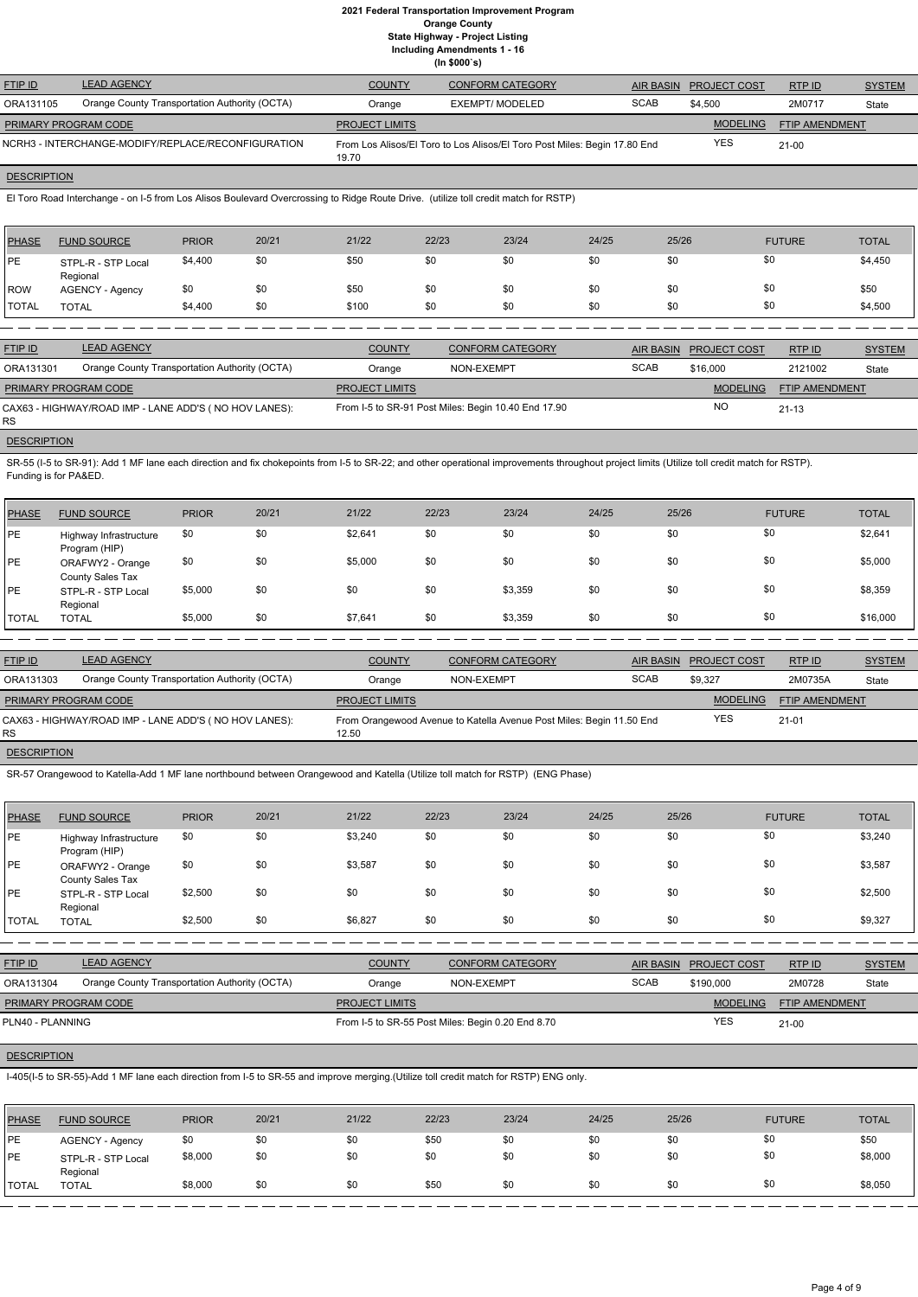| <b>FTIP ID</b>              | <b>LEAD AGENCY</b>                                 | <b>COUNTY</b>         | <b>CONFORM CATEGORY</b>                                                   | AIR BASIN   | <b>PROJECT COST</b> | RTP ID                | <b>SYSTEM</b> |
|-----------------------------|----------------------------------------------------|-----------------------|---------------------------------------------------------------------------|-------------|---------------------|-----------------------|---------------|
| ORA131105                   | Orange County Transportation Authority (OCTA)      | Orange                | EXEMPT/ MODELED                                                           | <b>SCAB</b> | \$4.500             | 2M0717                | State         |
| <b>PRIMARY PROGRAM CODE</b> |                                                    | <b>PROJECT LIMITS</b> |                                                                           |             | <b>MODELING</b>     | <b>FTIP AMENDMENT</b> |               |
|                             | NCRH3 - INTERCHANGE-MODIFY/REPLACE/RECONFIGURATION | 19.70                 | From Los Alisos/El Toro to Los Alisos/El Toro Post Miles: Begin 17.80 End |             | <b>YES</b>          | $21 - 00$             |               |

# **DESCRIPTION**

El Toro Road Interchange - on I-5 from Los Alisos Boulevard Overcrossing to Ridge Route Drive. (utilize toll credit match for RSTP)

SR-55 (I-5 to SR-91): Add 1 MF lane each direction and fix chokepoints from I-5 to SR-22; and other operational improvements throughout project limits (Utilize toll credit match for RSTP). Funding is for PA&ED.

| <b>PHASE</b> | <b>FUND SOURCE</b>             | <b>PRIOR</b> | 20/21 | 21/22 | 22/23 | 23/24 | 24/25 | 25/26 | <b>FUTURE</b> | <b>TOTAL</b> |
|--------------|--------------------------------|--------------|-------|-------|-------|-------|-------|-------|---------------|--------------|
| <b>IPE</b>   | STPL-R - STP Local<br>Regional | \$4,400      | \$0   | \$50  | \$0   | \$0   | \$0   | \$0   | \$0           | \$4,450      |
| ROW          | <b>AGENCY - Agency</b>         | \$0          | \$0   | \$50  | \$0   | \$0   | \$0   | \$0   | \$0           | \$50         |
| <b>TOTAL</b> | <b>TOTAL</b>                   | \$4,400      | \$0   | \$100 | \$0   | \$0   | \$0   | \$0   | \$0           | \$4,500      |

| <b>FTIP ID</b>              | <b>LEAD AGENCY</b>                                    | <b>COUNTY</b>         | <b>CONFORM CATEGORY</b>                             |             | AIR BASIN PROJECT COST | RTP ID         | <b>SYSTEM</b> |
|-----------------------------|-------------------------------------------------------|-----------------------|-----------------------------------------------------|-------------|------------------------|----------------|---------------|
| ORA131301                   | Orange County Transportation Authority (OCTA)         | Orange                | NON-EXEMPT                                          | <b>SCAB</b> | \$16,000               | 2121002        | State         |
| <b>PRIMARY PROGRAM CODE</b> |                                                       | <b>PROJECT LIMITS</b> |                                                     |             | <b>MODELING</b>        | FTIP AMENDMENT |               |
| RS.                         | CAX63 - HIGHWAY/ROAD IMP - LANE ADD'S (NO HOV LANES): |                       | From I-5 to SR-91 Post Miles: Begin 10.40 End 17.90 |             | <b>NO</b>              | $21 - 13$      |               |

#### **DESCRIPTION**

| <b>PHASE</b> | <b>FUND SOURCE</b>                      | <b>PRIOR</b> | 20/21 | 21/22   | 22/23 | 23/24   | 24/25 | 25/26 | <b>FUTURE</b> | <b>TOTAL</b> |
|--------------|-----------------------------------------|--------------|-------|---------|-------|---------|-------|-------|---------------|--------------|
| <b>PE</b>    | Highway Infrastructure<br>Program (HIP) | \$0          | \$0   | \$2,641 | \$0   | \$0     | \$0   | \$0   | \$0           | \$2,641      |
| PE           | ORAFWY2 - Orange<br>County Sales Tax    | \$0          | \$0   | \$5,000 | \$0   | \$0     | \$0   | \$0   | \$0           | \$5,000      |
| <b>PE</b>    | STPL-R - STP Local<br>Regional          | \$5,000      | \$0   | \$0     | \$0   | \$3,359 | \$0   | \$0   | \$0           | \$8,359      |
| <b>TOTAL</b> | <b>TOTAL</b>                            | \$5,000      | \$0   | \$7,641 | \$0   | \$3,359 | \$0   | \$0   | \$0           | \$16,000     |

| <b>FTIP ID</b>              | <b>LEAD AGENCY</b>                                    | <b>COUNTY</b>         | <b>CONFORM CATEGORY</b>                                              |             | AIR BASIN PROJECT COST | RTPID                 | <b>SYSTEM</b> |
|-----------------------------|-------------------------------------------------------|-----------------------|----------------------------------------------------------------------|-------------|------------------------|-----------------------|---------------|
| ORA131303                   | Orange County Transportation Authority (OCTA)         | Orange                | NON-EXEMPT                                                           | <b>SCAB</b> | \$9.327                | 2M0735A               | State         |
| <b>PRIMARY PROGRAM CODE</b> |                                                       | <b>PROJECT LIMITS</b> |                                                                      |             | <b>MODELING</b>        | <b>FTIP AMENDMENT</b> |               |
| RS.                         | CAX63 - HIGHWAY/ROAD IMP - LANE ADD'S (NO HOV LANES): | 12.50                 | From Orangewood Avenue to Katella Avenue Post Miles: Begin 11.50 End |             | <b>YES</b>             | $21 - 01$             |               |
|                             |                                                       |                       |                                                                      |             |                        |                       |               |

## **DESCRIPTION**

SR-57 Orangewood to Katella-Add 1 MF lane northbound between Orangewood and Katella (Utilize toll match for RSTP) (ENG Phase)

| PHASE        | <b>FUND SOURCE</b>                      | <b>PRIOR</b> | 20/21 | 21/22   | 22/23 | 23/24 | 24/25 | 25/26 | <b>FUTURE</b> | <b>TOTAL</b> |
|--------------|-----------------------------------------|--------------|-------|---------|-------|-------|-------|-------|---------------|--------------|
| <b>PE</b>    | Highway Infrastructure<br>Program (HIP) | \$0          | \$0   | \$3,240 | \$0   | \$0   | \$0   | \$0   | \$0           | \$3,240      |
| <b>PE</b>    | ORAFWY2 - Orange<br>County Sales Tax    | \$0          | \$0   | \$3,587 | \$0   | \$0   | \$0   | \$0   | \$0           | \$3,587      |
| PE           | STPL-R - STP Local<br>Regional          | \$2,500      | \$0   | \$0     | \$0   | \$0   | \$0   | \$0   | \$0           | \$2,500      |
| <b>TOTAL</b> | <b>TOTAL</b>                            | \$2,500      | \$0   | \$6,827 | \$0   | \$0   | \$0   | \$0   | \$0           | \$9,327      |

| <b>FTIP ID</b>              | <b>LEAD AGENCY</b>                            | <b>COUNTY</b>         | <b>CONFORM CATEGORY</b>                           |             | AIR BASIN PROJECT COST | RTP ID                | <b>SYSTEM</b> |
|-----------------------------|-----------------------------------------------|-----------------------|---------------------------------------------------|-------------|------------------------|-----------------------|---------------|
| ORA131304                   | Orange County Transportation Authority (OCTA) | Orange                | NON-EXEMPT                                        | <b>SCAB</b> | \$190,000              | 2M0728                | State         |
| <b>PRIMARY PROGRAM CODE</b> |                                               | <b>PROJECT LIMITS</b> |                                                   |             | <b>MODELING</b>        | <b>FTIP AMENDMENT</b> |               |
| PLN40 - PLANNING            |                                               |                       | From I-5 to SR-55 Post Miles: Begin 0.20 End 8.70 |             | <b>YES</b>             | $21-00$               |               |

#### **DESCRIPTION**

I-405(I-5 to SR-55)-Add 1 MF lane each direction from I-5 to SR-55 and improve merging.(Utilize toll credit match for RSTP) ENG only.

| <b>PHASE</b> | <b>FUND SOURCE</b>             | <b>PRIOR</b> | 20/21 | 21/22 | 22/23 | 23/24 | 24/25 | 25/26 | <b>FUTURE</b> | <b>TOTAL</b> |
|--------------|--------------------------------|--------------|-------|-------|-------|-------|-------|-------|---------------|--------------|
| <b>PE</b>    | <b>AGENCY - Agency</b>         | \$0          | \$0   | \$0   | \$50  | \$0   | \$0   |       | \$0           | \$50         |
| <b>IPE</b>   | STPL-R - STP Local<br>Regional | \$8,000      | \$0   | \$0   | \$0   | \$0   | \$0   |       | \$0           | \$8,000      |
| <b>TOTAL</b> | <b>TOTAL</b>                   | \$8,000      | \$0   | \$0   | \$50  | \$0   | \$0   |       | \$0           | \$8,050      |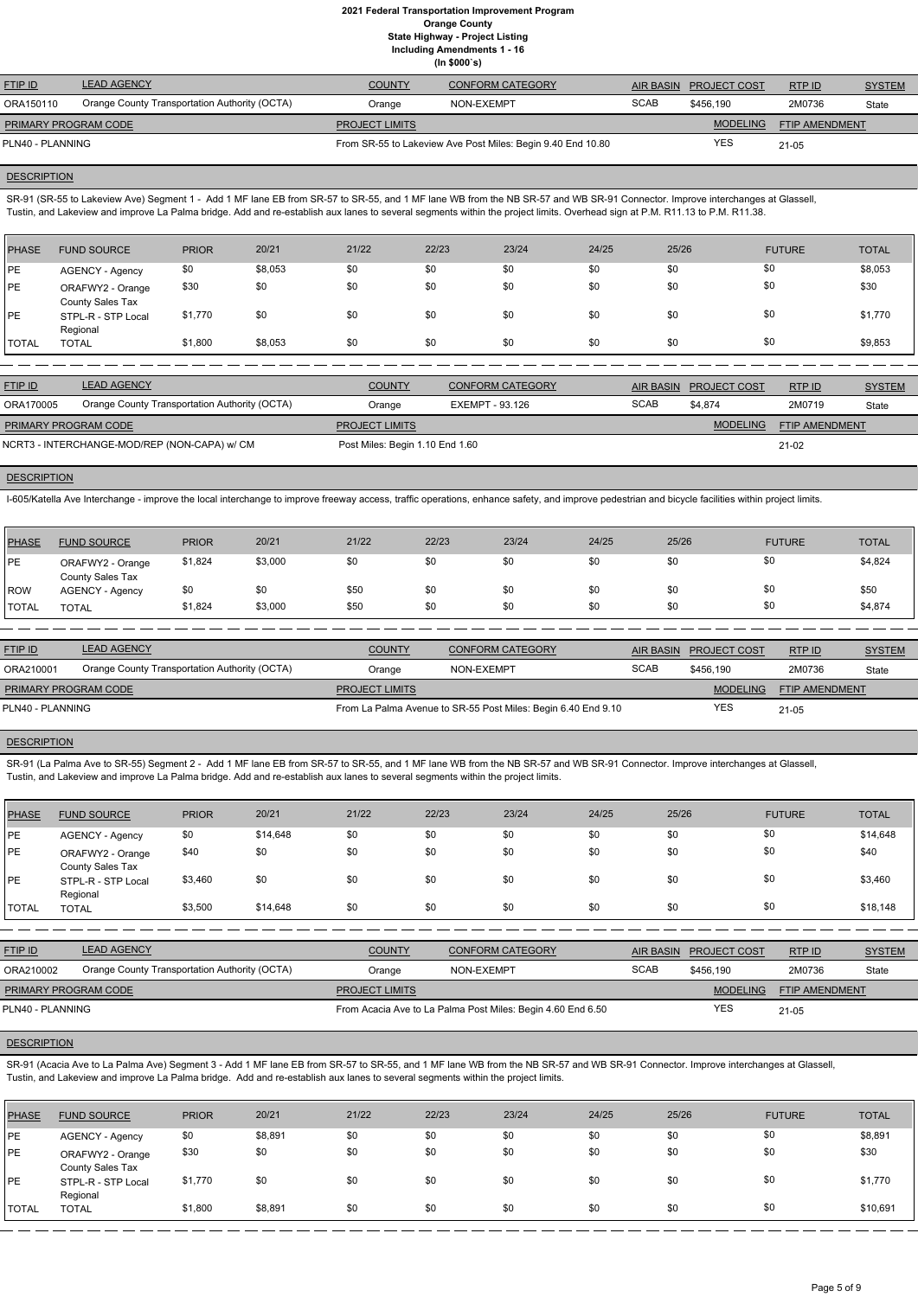| <b>LEAD AGENCY</b>                            | <b>COUNTY</b>         | <b>CONFORM CATEGORY</b>                                     |             |                 | RTPID                         | <b>SYSTEM</b>  |
|-----------------------------------------------|-----------------------|-------------------------------------------------------------|-------------|-----------------|-------------------------------|----------------|
| Orange County Transportation Authority (OCTA) | Orange                | NON-EXEMPT                                                  | <b>SCAB</b> | \$456.190       | 2M0736                        | State          |
| <b>PRIMARY PROGRAM CODE</b>                   | <b>PROJECT LIMITS</b> |                                                             |             | <b>MODELING</b> |                               |                |
| PLN40 - PLANNING                              |                       | From SR-55 to Lakeview Ave Post Miles: Begin 9.40 End 10.80 |             |                 | $21 - 05$                     |                |
|                                               |                       |                                                             |             |                 | AIR BASIN PROJECT COST<br>YES | FTIP AMENDMENT |

#### **DESCRIPTION**

SR-91 (SR-55 to Lakeview Ave) Segment 1 - Add 1 MF lane EB from SR-57 to SR-55, and 1 MF lane WB from the NB SR-57 and WB SR-91 Connector. Improve interchanges at Glassell, Tustin, and Lakeview and improve La Palma bridge. Add and re-establish aux lanes to several segments within the project limits. Overhead sign at P.M. R11.13 to P.M. R11.38.

| PHASE        | <b>FUND SOURCE</b>                   | <b>PRIOR</b> | 20/21   | 21/22 | 22/23 | 23/24 | 24/25 | 25/26 | <b>FUTURE</b> | <b>TOTAL</b> |
|--------------|--------------------------------------|--------------|---------|-------|-------|-------|-------|-------|---------------|--------------|
| <b>IPE</b>   | AGENCY - Agency                      | \$0          | \$8,053 | \$0   | \$0   | \$0   | \$0   | \$0   | \$0           | \$8,053      |
| <b>PE</b>    | ORAFWY2 - Orange<br>County Sales Tax | \$30         | \$0     | \$0   | \$0   | \$0   | \$0   | \$0   | \$0           | \$30         |
| <b>PE</b>    | STPL-R - STP Local<br>Regional       | \$1,770      | \$0     | \$0   | \$0   | \$0   | \$0   | \$0   | \$0           | \$1,770      |
| <b>TOTAL</b> | <b>TOTAL</b>                         | \$1,800      | \$8,053 | \$0   | \$0   | \$0   | \$0   | \$0   | \$0           | \$9,853      |

| <b>FTIP ID</b>              | <b>LEAD AGENCY</b>                            | <b>COUNTY</b>                   | <b>CONFORM CATEGORY</b> | AIR BASIN   | <b>PROJECT COST</b> | RTPID                 | <b>SYSTEM</b> |
|-----------------------------|-----------------------------------------------|---------------------------------|-------------------------|-------------|---------------------|-----------------------|---------------|
| ORA170005                   | Orange County Transportation Authority (OCTA) | Orange                          | EXEMPT - 93.126         | <b>SCAB</b> | \$4.874             | 2M0719                | State         |
| <b>PRIMARY PROGRAM CODE</b> |                                               | <b>PROJECT LIMITS</b>           |                         |             | <b>MODELING</b>     | <b>FTIP AMENDMENT</b> |               |
|                             | NCRT3 - INTERCHANGE-MOD/REP (NON-CAPA) w/ CM  | Post Miles: Begin 1.10 End 1.60 |                         |             |                     | 21-02                 |               |

#### **DESCRIPTION**

I-605/Katella Ave Interchange - improve the local interchange to improve freeway access, traffic operations, enhance safety, and improve pedestrian and bicycle facilities within project limits.

| PHASE        | <b>FUND SOURCE</b>                          | <b>PRIOR</b> | 20/21   | 21/22 | 22/23 | 23/24 | 24/25 | 25/26 | <b>FUTURE</b> | <b>TOTAL</b> |
|--------------|---------------------------------------------|--------------|---------|-------|-------|-------|-------|-------|---------------|--------------|
| IPE          | ORAFWY2 - Orange<br><b>County Sales Tax</b> | \$1,824      | \$3,000 | \$0   | \$0   | \$0   | \$0   | \$0   | \$0           | \$4,824      |
| ROW          | <b>AGENCY - Agency</b>                      | \$0          | \$0     | \$50  | \$0   | \$0   | \$0   | \$0   | \$0           | \$50         |
| <b>TOTAL</b> | <b>TOTAL</b>                                | \$1,824      | \$3,000 | \$50  | \$0   | \$0   | \$0   | \$0   | \$0           | \$4,874      |

| <b>FTIP ID</b>              | <b>LEAD AGENCY</b>                            | <b>COUNTY</b>                                                 | <b>CONFORM CATEGORY</b> |             | AIR BASIN PROJECT COST | RTP ID                | <b>SYSTEM</b> |
|-----------------------------|-----------------------------------------------|---------------------------------------------------------------|-------------------------|-------------|------------------------|-----------------------|---------------|
| ORA210001                   | Orange County Transportation Authority (OCTA) | Orange                                                        | NON-EXEMPT              | <b>SCAB</b> | \$456.190              | 2M0736                | State         |
| <b>PRIMARY PROGRAM CODE</b> |                                               | <b>PROJECT LIMITS</b>                                         |                         |             | <b>MODELING</b>        | <b>FTIP AMENDMENT</b> |               |
| PLN40 - PLANNING            |                                               | From La Palma Avenue to SR-55 Post Miles: Begin 6.40 End 9.10 |                         | YES         | $21 - 05$              |                       |               |

## **DESCRIPTION**

SR-91 (La Palma Ave to SR-55) Segment 2 - Add 1 MF lane EB from SR-57 to SR-55, and 1 MF lane WB from the NB SR-57 and WB SR-91 Connector. Improve interchanges at Glassell, Tustin, and Lakeview and improve La Palma bridge. Add and re-establish aux lanes to several segments within the project limits.

| PHASE | <b>FUND SOURCE</b>                   | <b>PRIOR</b> | 20/21    | 21/22 | 22/23 | 23/24 | 24/25 | 25/26 | <b>FUTURE</b> | <b>TOTAL</b> |
|-------|--------------------------------------|--------------|----------|-------|-------|-------|-------|-------|---------------|--------------|
| PE    | <b>AGENCY - Agency</b>               | \$0          | \$14,648 | \$0   | \$0   | \$0   | \$0   | \$0   | \$0           | \$14,648     |
| PE    | ORAFWY2 - Orange<br>County Sales Tax | \$40         | \$0      | \$0   | \$0   | \$0   | \$0   | \$0   | \$0           | \$40         |
| PE    | STPL-R - STP Local<br>Regional       | \$3,460      | \$0      | \$0   | \$0   | \$0   | \$0   | \$0   | \$0           | \$3,460      |
| TOTAL | <b>TOTAL</b>                         | \$3,500      | \$14,648 | \$0   | \$0   | \$0   | \$0   | \$0   | \$0           | \$18,148     |

| <b>FTIP ID</b> | <b>LEAD AGENCY</b>                            | COUNTY | <b>CONFORM CATEGORY</b> |             | AIR BASIN PROJECT COST | <b>RTPID</b> | <b>SYSTEM</b> |
|----------------|-----------------------------------------------|--------|-------------------------|-------------|------------------------|--------------|---------------|
| ORA210002      | Orange County Transportation Authority (OCTA) | Orange | NON-EXEMPT              | <b>SCAB</b> | \$456.190              | 2M0736       | State         |

| PRIMARY PROGRAM CODE | <b>PROJECT LIMITS</b>                                       | <b>MODELING</b> | <b>FTIP AMENDMENT</b> |
|----------------------|-------------------------------------------------------------|-----------------|-----------------------|
| PLN40 - PLANNING     | From Acacia Ave to La Palma Post Miles: Begin 4.60 End 6.50 | YES             | $21 - 05$             |

## **DESCRIPTION**

SR-91 (Acacia Ave to La Palma Ave) Segment 3 - Add 1 MF lane EB from SR-57 to SR-55, and 1 MF lane WB from the NB SR-57 and WB SR-91 Connector. Improve interchanges at Glassell, Tustin, and Lakeview and improve La Palma bridge. Add and re-establish aux lanes to several segments within the project limits.

| PHASE      | <b>FUND SOURCE</b>                   | <b>PRIOR</b> | 20/21   | 21/22 | 22/23 | 23/24 | 24/25 | 25/26 | <b>FUTURE</b> | <b>TOTAL</b> |
|------------|--------------------------------------|--------------|---------|-------|-------|-------|-------|-------|---------------|--------------|
| PE         | AGENCY - Agency                      | \$0          | \$8,891 | \$0   | \$0   | \$0   | \$0   | \$0   | \$0           | \$8,891      |
| <b>IPE</b> | ORAFWY2 - Orange<br>County Sales Tax | \$30         | \$0     | \$0   | \$0   | \$0   | \$0   | \$0   | \$0           | \$30         |
| <b>IPE</b> | STPL-R - STP Local<br>Regional       | \$1,770      | \$0     | \$0   | \$0   | \$0   | \$0   | \$0   | \$0           | \$1,770      |
| 'TOTAL     | <b>TOTAL</b>                         | \$1,800      | \$8,891 | \$0   | \$0   | \$0   | \$0   | \$0   | \$0           | \$10,691     |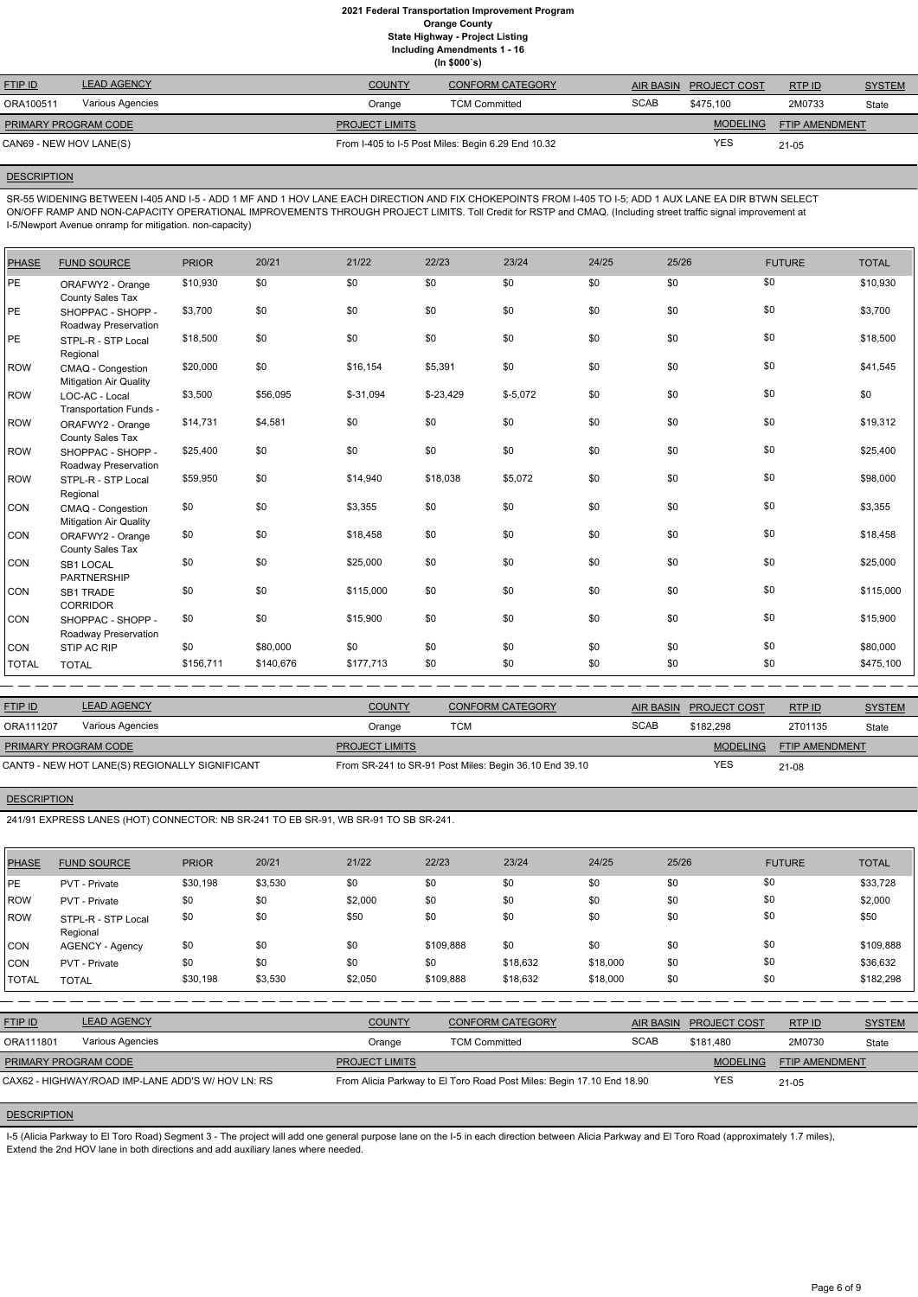| <b>FTIP ID</b>              | <b>LEAD AGENCY</b> | <b>COUNTY</b>         | <b>CONFORM CATEGORY</b>                            |             | AIR BASIN PROJECT COST | RTPID                 | <b>SYSTEM</b> |
|-----------------------------|--------------------|-----------------------|----------------------------------------------------|-------------|------------------------|-----------------------|---------------|
| ORA100511                   | Various Agencies   | Orange                | <b>TCM Committed</b>                               | <b>SCAB</b> | \$475.100              | 2M0733                | State         |
| <b>PRIMARY PROGRAM CODE</b> |                    | <b>PROJECT LIMITS</b> |                                                    |             | <b>MODELING</b>        | <b>FTIP AMENDMENT</b> |               |
| CAN69 - NEW HOV LANE(S)     |                    |                       | From I-405 to I-5 Post Miles: Begin 6.29 End 10.32 |             | YES                    | $21 - 05$             |               |

#### **DESCRIPTION**

SR-55 WIDENING BETWEEN I-405 AND I-5 - ADD 1 MF AND 1 HOV LANE EACH DIRECTION AND FIX CHOKEPOINTS FROM I-405 TO I-5; ADD 1 AUX LANE EA DIR BTWN SELECT ON/OFF RAMP AND NON-CAPACITY OPERATIONAL IMPROVEMENTS THROUGH PROJECT LIMITS. Toll Credit for RSTP and CMAQ. (Including street traffic signal improvement at I-5/Newport Avenue onramp for mitigation. non-capacity)

| <b>PHASE</b> | <b>FUND SOURCE</b>                                 | <b>PRIOR</b> | 20/21     | 21/22      | 22/23      | 23/24     | 24/25 | 25/26 | <b>FUTURE</b> | <b>TOTAL</b> |
|--------------|----------------------------------------------------|--------------|-----------|------------|------------|-----------|-------|-------|---------------|--------------|
| PE           | ORAFWY2 - Orange<br>County Sales Tax               | \$10,930     | \$0       | \$0        | \$0        | \$0       | \$0   | \$0   | \$0           | \$10,930     |
| PE           | SHOPPAC - SHOPP -<br>Roadway Preservation          | \$3,700      | \$0       | \$0        | \$0        | \$0       | \$0   | \$0   | \$0           | \$3,700      |
| PE           | STPL-R - STP Local<br>Regional                     | \$18,500     | \$0       | \$0        | \$0        | \$0       | \$0   | \$0   | \$0           | \$18,500     |
| <b>ROW</b>   | CMAQ - Congestion<br><b>Mitigation Air Quality</b> | \$20,000     | \$0       | \$16,154   | \$5,391    | \$0       | \$0   | \$0   | \$0           | \$41,545     |
| <b>ROW</b>   | LOC-AC - Local<br>Transportation Funds -           | \$3,500      | \$56,095  | $$-31,094$ | $$-23,429$ | $$-5,072$ | \$0   | \$0   | \$0           | \$0          |
| <b>ROW</b>   | ORAFWY2 - Orange<br>County Sales Tax               | \$14,731     | \$4,581   | \$0        | \$0        | \$0       | \$0   | \$0   | \$0           | \$19,312     |
| <b>ROW</b>   | SHOPPAC - SHOPP -<br>Roadway Preservation          | \$25,400     | \$0       | \$0        | \$0        | \$0       | \$0   | \$0   | \$0           | \$25,400     |
| <b>ROW</b>   | STPL-R - STP Local<br>Regional                     | \$59,950     | \$0       | \$14,940   | \$18,038   | \$5,072   | \$0   | \$0   | \$0           | \$98,000     |
| CON          | CMAQ - Congestion<br><b>Mitigation Air Quality</b> | \$0          | \$0       | \$3,355    | \$0        | \$0       | \$0   | \$0   | \$0           | \$3,355      |
| CON          | ORAFWY2 - Orange<br>County Sales Tax               | \$0          | \$0       | \$18,458   | \$0        | \$0       | \$0   | \$0   | \$0           | \$18,458     |
| CON          | SB1 LOCAL<br>PARTNERSHIP                           | \$0          | \$0       | \$25,000   | \$0        | \$0       | \$0   | \$0   | \$0           | \$25,000     |
| CON          | <b>SB1 TRADE</b><br><b>CORRIDOR</b>                | \$0          | \$0       | \$115,000  | \$0        | \$0       | \$0   | \$0   | \$0           | \$115,000    |
| CON          | SHOPPAC - SHOPP -<br>Roadway Preservation          | \$0          | \$0       | \$15,900   | \$0        | \$0       | \$0   | \$0   | \$0           | \$15,900     |
| CON          | STIP AC RIP                                        | \$0          | \$80,000  | \$0        | \$0        | \$0       | \$0   | \$0   | \$0           | \$80,000     |
| <b>TOTAL</b> | <b>TOTAL</b>                                       | \$156,711    | \$140,676 | \$177,713  | \$0        | \$0       | \$0   | \$0   | \$0           | \$475,100    |

I-5 (Alicia Parkway to El Toro Road) Segment 3 - The project will add one general purpose lane on the I-5 in each direction between Alicia Parkway and El Toro Road (approximately 1.7 miles), Extend the 2nd HOV lane in both directions and add auxiliary lanes where needed.

| <b>FTIP ID</b>              | <b>LEAD AGENCY</b>                             | <b>COUNTY</b>         | <b>CONFORM CATEGORY</b>                                |             | AIR BASIN PROJECT COST | RTPID                 | <b>SYSTEM</b> |
|-----------------------------|------------------------------------------------|-----------------------|--------------------------------------------------------|-------------|------------------------|-----------------------|---------------|
| ORA111207                   | Various Agencies                               | Orange                | тсм                                                    | <b>SCAB</b> | \$182.298              | 2T01135               | State         |
| <b>PRIMARY PROGRAM CODE</b> |                                                | <b>PROJECT LIMITS</b> |                                                        |             | <b>MODELING</b>        | <b>FTIP AMENDMENT</b> |               |
|                             | CANT9 - NEW HOT LANE(S) REGIONALLY SIGNIFICANT |                       | From SR-241 to SR-91 Post Miles: Begin 36.10 End 39.10 |             | <b>YES</b>             | 21-08                 |               |

## **DESCRIPTION**

241/91 EXPRESS LANES (HOT) CONNECTOR: NB SR-241 TO EB SR-91, WB SR-91 TO SB SR-241.

| <b>PHASE</b>                                      | <b>FUND SOURCE</b>             | <b>PRIOR</b> | 20/21   | 21/22                 | 22/23                | 23/24                                                                 | 24/25    | 25/26            |                     | <b>FUTURE</b>         | <b>TOTAL</b>  |
|---------------------------------------------------|--------------------------------|--------------|---------|-----------------------|----------------------|-----------------------------------------------------------------------|----------|------------------|---------------------|-----------------------|---------------|
| PE                                                | <b>PVT</b> - Private           | \$30,198     | \$3,530 | \$0                   | \$0                  | \$0                                                                   | \$0      | \$0              |                     | \$0                   | \$33,728      |
| ROW                                               | PVT - Private                  | \$0          | \$0     | \$2,000               | \$0                  | \$0                                                                   | \$0      | \$0              |                     | \$0                   | \$2,000       |
| ROW                                               | STPL-R - STP Local<br>Regional | \$0          | \$0     | \$50                  | \$0                  | \$0                                                                   | \$0      | \$0              |                     | \$0                   | \$50          |
| <b>CON</b>                                        | <b>AGENCY - Agency</b>         | \$0          | \$0     | \$0                   | \$109,888            | \$0                                                                   | \$0      | \$0              |                     | \$0                   | \$109,888     |
| <b>CON</b>                                        | PVT - Private                  | \$0          | \$0     | \$0                   | \$0                  | \$18,632                                                              | \$18,000 | \$0              |                     | \$0                   | \$36,632      |
| <b>TOTAL</b>                                      | <b>TOTAL</b>                   | \$30,198     | \$3,530 | \$2,050               | \$109,888            | \$18,632                                                              | \$18,000 | \$0              |                     | \$0                   | \$182,298     |
|                                                   |                                |              |         |                       |                      |                                                                       |          |                  |                     |                       |               |
| FTIP ID                                           | <b>LEAD AGENCY</b>             |              |         | <b>COUNTY</b>         |                      | <b>CONFORM CATEGORY</b>                                               |          | <b>AIR BASIN</b> | <b>PROJECT COST</b> | RTPID                 | <b>SYSTEM</b> |
| ORA111801                                         | Various Agencies               |              |         | Orange                | <b>TCM Committed</b> |                                                                       |          | <b>SCAB</b>      | \$181,480           | 2M0730                | State         |
|                                                   | PRIMARY PROGRAM CODE           |              |         | <b>PROJECT LIMITS</b> |                      |                                                                       |          |                  | <b>MODELING</b>     | <b>FTIP AMENDMENT</b> |               |
| CAX62 - HIGHWAY/ROAD IMP-LANE ADD'S W/ HOV LN: RS |                                |              |         |                       |                      | From Alicia Parkway to El Toro Road Post Miles: Begin 17.10 End 18.90 |          |                  | <b>YES</b>          | $21 - 05$             |               |

#### **DESCRIPTION**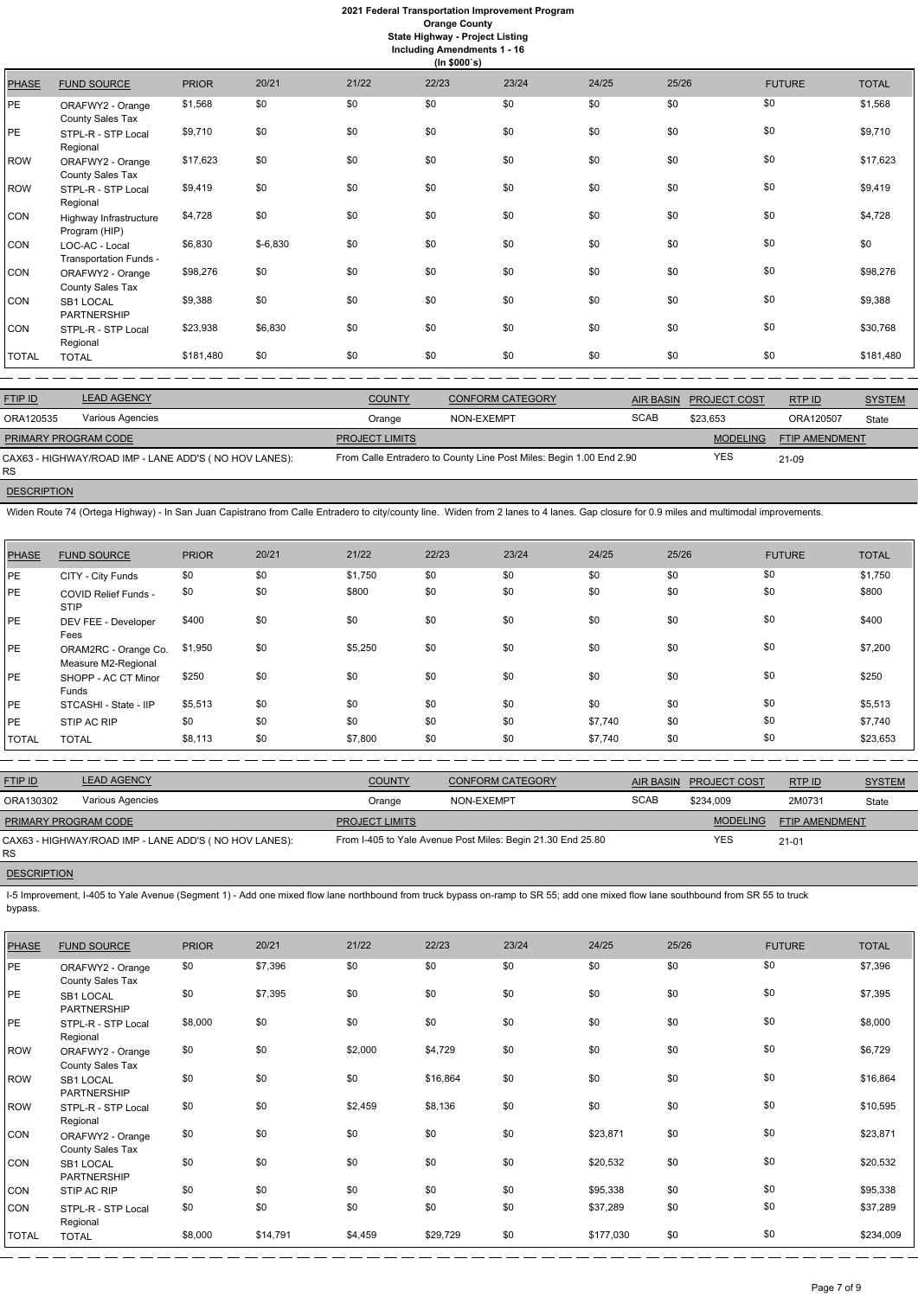|              | (ln \$000's)                             |              |           |       |       |       |       |       |               |              |
|--------------|------------------------------------------|--------------|-----------|-------|-------|-------|-------|-------|---------------|--------------|
| <b>PHASE</b> | <b>FUND SOURCE</b>                       | <b>PRIOR</b> | 20/21     | 21/22 | 22/23 | 23/24 | 24/25 | 25/26 | <b>FUTURE</b> | <b>TOTAL</b> |
| PE.          | ORAFWY2 - Orange<br>County Sales Tax     | \$1,568      | \$0       | \$0   | \$0   | \$0   | \$0   | \$0   | \$0           | \$1,568      |
| PE           | STPL-R - STP Local<br>Regional           | \$9,710      | \$0       | \$0   | \$0   | \$0   | \$0   | \$0   | \$0           | \$9,710      |
| ROW          | ORAFWY2 - Orange<br>County Sales Tax     | \$17,623     | \$0       | \$0   | \$0   | \$0   | \$0   | \$0   | \$0           | \$17,623     |
| ROW          | STPL-R - STP Local<br>Regional           | \$9,419      | \$0       | \$0   | \$0   | \$0   | \$0   | \$0   | \$0           | \$9,419      |
| <b>CON</b>   | Highway Infrastructure<br>Program (HIP)  | \$4,728      | \$0       | \$0   | \$0   | \$0   | \$0   | \$0   | \$0           | \$4,728      |
| <b>CON</b>   | LOC-AC - Local<br>Transportation Funds - | \$6,830      | $$-6,830$ | \$0   | \$0   | \$0   | \$0   | \$0   | \$0           | \$0          |
| CON          | ORAFWY2 - Orange<br>County Sales Tax     | \$98,276     | \$0       | \$0   | \$0   | \$0   | \$0   | \$0   | \$0           | \$98,276     |
| <b>CON</b>   | SB1 LOCAL<br><b>PARTNERSHIP</b>          | \$9,388      | \$0       | \$0   | \$0   | \$0   | \$0   | \$0   | \$0           | \$9,388      |
| CON          | STPL-R - STP Local<br>Regional           | \$23,938     | \$6,830   | \$0   | \$0   | \$0   | \$0   | \$0   | \$0           | \$30,768     |
| <b>TOTAL</b> | <b>TOTAL</b>                             | \$181,480    | \$0       | \$0   | \$0   | \$0   | \$0   | \$0   | \$0           | \$181,480    |
|              |                                          |              |           |       |       |       |       |       |               |              |

| <b>FTIP ID</b>              | <b>LEAD AGENCY</b>                                    | <b>COUNTY</b>         | <b>CONFORM CATEGORY</b>                                             |             | AIR BASIN PROJECT COST | RTP ID         | <b>SYSTEM</b> |
|-----------------------------|-------------------------------------------------------|-----------------------|---------------------------------------------------------------------|-------------|------------------------|----------------|---------------|
| ORA120535                   | Various Agencies                                      | Orange                | NON-EXEMPT                                                          | <b>SCAB</b> | \$23.653               | ORA120507      | <b>State</b>  |
| <b>PRIMARY PROGRAM CODE</b> |                                                       | <b>PROJECT LIMITS</b> |                                                                     |             | <b>MODELING</b>        | FTIP AMENDMENT |               |
| <b>RS</b>                   | CAX63 - HIGHWAY/ROAD IMP - LANE ADD'S (NO HOV LANES): |                       | From Calle Entradero to County Line Post Miles: Begin 1.00 End 2.90 |             | YES                    | 21-09          |               |

**DESCRIPTION** 

Widen Route 74 (Ortega Highway) - In San Juan Capistrano from Calle Entradero to city/county line. Widen from 2 lanes to 4 lanes. Gap closure for 0.9 miles and multimodal improvements.

| <b>PHASE</b> | <b>FUND SOURCE</b>                          | <b>PRIOR</b> | 20/21 | 21/22   | 22/23 | 23/24 | 24/25   | 25/26 | <b>FUTURE</b> | <b>TOTAL</b> |
|--------------|---------------------------------------------|--------------|-------|---------|-------|-------|---------|-------|---------------|--------------|
| PE           | CITY - City Funds                           | \$0          | \$0   | \$1,750 | \$0   | \$0   | \$0     | \$0   | \$0           | \$1,750      |
| PE           | <b>COVID Relief Funds -</b><br><b>STIP</b>  | \$0          | \$0   | \$800   | \$0   | \$0   | \$0     | \$0   | \$0           | \$800        |
| PE           | DEV FEE - Developer<br>Fees                 | \$400        | \$0   | \$0     | \$0   | \$0   | \$0     | \$0   | \$0           | \$400        |
| PE           | ORAM2RC - Orange Co.<br>Measure M2-Regional | \$1,950      | \$0   | \$5,250 | \$0   | \$0   | \$0     | \$0   | \$0           | \$7,200      |
| PE           | SHOPP - AC CT Minor<br>Funds                | \$250        | \$0   | \$0     | \$0   | \$0   | \$0     | \$0   | \$0           | \$250        |
| PE           | STCASHI - State - IIP                       | \$5,513      | \$0   | \$0     | \$0   | \$0   | \$0     | \$0   | \$0           | \$5,513      |
| PE           | STIP AC RIP                                 | \$0          | \$0   | \$0     | \$0   | \$0   | \$7,740 | \$0   | \$0           | \$7,740      |
| <b>TOTAL</b> | <b>TOTAL</b>                                | \$8,113      | \$0   | \$7,800 | \$0   | \$0   | \$7,740 | \$0   | \$0           | \$23,653     |

| <b>FTIP ID</b>              | <b>LEAD AGENCY</b>                                                                                                                                                                | <b>COUNTY</b>         | <b>CONFORM CATEGORY</b>                                     |             | AIR BASIN PROJECT COST | RTP ID                | <b>SYSTEM</b> |  |  |  |
|-----------------------------|-----------------------------------------------------------------------------------------------------------------------------------------------------------------------------------|-----------------------|-------------------------------------------------------------|-------------|------------------------|-----------------------|---------------|--|--|--|
| ORA130302                   | Various Agencies                                                                                                                                                                  | Orange                | NON-EXEMPT                                                  | <b>SCAB</b> | \$234.009              | 2M0731                | State         |  |  |  |
| <b>PRIMARY PROGRAM CODE</b> |                                                                                                                                                                                   | <b>PROJECT LIMITS</b> |                                                             |             | <b>MODELING</b>        | <b>FTIP AMENDMENT</b> |               |  |  |  |
| RS.                         | CAX63 - HIGHWAY/ROAD IMP - LANE ADD'S (NO HOV LANES):                                                                                                                             |                       | From I-405 to Yale Avenue Post Miles: Begin 21.30 End 25.80 |             | <b>YES</b>             | $21 - 01$             |               |  |  |  |
| <b>DESCRIPTION</b>          |                                                                                                                                                                                   |                       |                                                             |             |                        |                       |               |  |  |  |
| bypass.                     | I-5 Improvement, I-405 to Yale Avenue (Segment 1) - Add one mixed flow lane northbound from truck bypass on-ramp to SR 55; add one mixed flow lane southbound from SR 55 to truck |                       |                                                             |             |                        |                       |               |  |  |  |

| <b>PHASE</b> | <b>FUND SOURCE</b>                   | <b>PRIOR</b> | 20/21    | 21/22   | 22/23    | 23/24 | 24/25     | 25/26 | <b>FUTURE</b> | <b>TOTAL</b> |
|--------------|--------------------------------------|--------------|----------|---------|----------|-------|-----------|-------|---------------|--------------|
| PE           | ORAFWY2 - Orange<br>County Sales Tax | \$0          | \$7,396  | \$0     | \$0      | \$0   | \$0       | \$0   | \$0           | \$7,396      |
| PE           | SB1 LOCAL<br><b>PARTNERSHIP</b>      | \$0          | \$7,395  | \$0     | \$0      | \$0   | \$0       | \$0   | \$0           | \$7,395      |
| PE           | STPL-R - STP Local<br>Regional       | \$8,000      | \$0      | \$0     | \$0      | \$0   | \$0       | \$0   | \$0           | \$8,000      |
| <b>ROW</b>   | ORAFWY2 - Orange<br>County Sales Tax | \$0          | \$0      | \$2,000 | \$4,729  | \$0   | \$0       | \$0   | \$0           | \$6,729      |
| <b>ROW</b>   | SB1 LOCAL<br><b>PARTNERSHIP</b>      | \$0          | \$0      | \$0     | \$16,864 | \$0   | \$0       | \$0   | \$0           | \$16,864     |
| ROW          | STPL-R - STP Local<br>Regional       | \$0          | \$0      | \$2,459 | \$8,136  | \$0   | \$0       | \$0   | \$0           | \$10,595     |
| <b>CON</b>   | ORAFWY2 - Orange<br>County Sales Tax | \$0          | \$0      | \$0     | \$0      | \$0   | \$23,871  | \$0   | \$0           | \$23,871     |
| <b>CON</b>   | SB1 LOCAL<br><b>PARTNERSHIP</b>      | \$0          | \$0      | \$0     | \$0      | \$0   | \$20,532  | \$0   | \$0           | \$20,532     |
| <b>CON</b>   | STIP AC RIP                          | \$0          | \$0      | \$0     | \$0      | \$0   | \$95,338  | \$0   | \$0           | \$95,338     |
| CON          | STPL-R - STP Local<br>Regional       | \$0          | \$0      | \$0     | \$0      | \$0   | \$37,289  | \$0   | \$0           | \$37,289     |
| <b>TOTAL</b> | <b>TOTAL</b>                         | \$8,000      | \$14,791 | \$4,459 | \$29,729 | \$0   | \$177,030 | \$0   | \$0           | \$234,009    |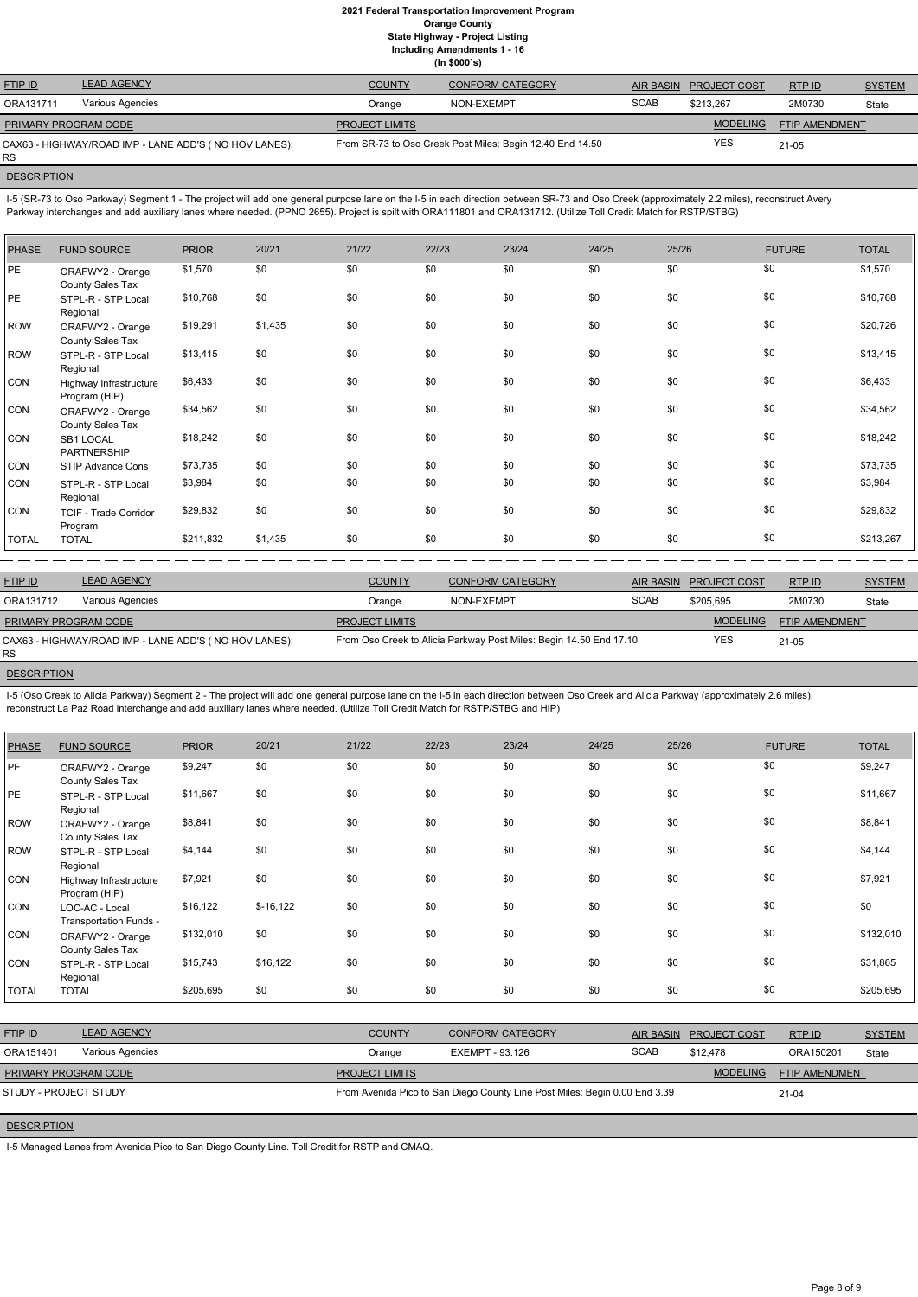I-5 (SR-73 to Oso Parkway) Segment 1 - The project will add one general purpose lane on the I-5 in each direction between SR-73 and Oso Creek (approximately 2.2 miles), reconstruct Avery Parkway interchanges and add auxiliary lanes where needed. (PPNO 2655). Project is spilt with ORA111801 and ORA131712. (Utilize Toll Credit Match for RSTP/STBG)

| <b>FTIP ID</b>       | <b>LEAD AGENCY</b>                                    | <b>COUNTY</b>         | <b>CONFORM CATEGORY</b>                                   |             | AIR BASIN PROJECT COST | RTP ID         | <b>SYSTEM</b> |
|----------------------|-------------------------------------------------------|-----------------------|-----------------------------------------------------------|-------------|------------------------|----------------|---------------|
| ORA131711            | Various Agencies                                      | Orange                | NON-EXEMPT                                                | <b>SCAB</b> | \$213.267              | 2M0730         | State         |
| PRIMARY PROGRAM CODE |                                                       | <b>PROJECT LIMITS</b> |                                                           |             | <b>MODELING</b>        | FTIP AMENDMENT |               |
| <b>RS</b>            | CAX63 - HIGHWAY/ROAD IMP - LANE ADD'S (NO HOV LANES): |                       | From SR-73 to Oso Creek Post Miles: Begin 12.40 End 14.50 |             | <b>YES</b>             | $21 - 05$      |               |

**DESCRIPTION** 

| <b>PHASE</b> | <b>FUND SOURCE</b>                      | <b>PRIOR</b> | 20/21   | 21/22 | 22/23 | 23/24 | 24/25 | 25/26 | <b>FUTURE</b> | <b>TOTAL</b> |
|--------------|-----------------------------------------|--------------|---------|-------|-------|-------|-------|-------|---------------|--------------|
| <b>PE</b>    | ORAFWY2 - Orange<br>County Sales Tax    | \$1,570      | \$0     | \$0   | \$0   | \$0   | \$0   | \$0   | \$0           | \$1,570      |
| PE           | STPL-R - STP Local<br>Regional          | \$10,768     | \$0     | \$0   | \$0   | \$0   | \$0   | \$0   | \$0           | \$10,768     |
| <b>ROW</b>   | ORAFWY2 - Orange<br>County Sales Tax    | \$19,291     | \$1,435 | \$0   | \$0   | \$0   | \$0   | \$0   | \$0           | \$20,726     |
| <b>ROW</b>   | STPL-R - STP Local<br>Regional          | \$13,415     | \$0     | \$0   | \$0   | \$0   | \$0   | \$0   | \$0           | \$13,415     |
| CON          | Highway Infrastructure<br>Program (HIP) | \$6,433      | \$0     | \$0   | \$0   | \$0   | \$0   | \$0   | \$0           | \$6,433      |
| CON          | ORAFWY2 - Orange<br>County Sales Tax    | \$34,562     | \$0     | \$0   | \$0   | \$0   | \$0   | \$0   | \$0           | \$34,562     |
| CON          | SB1 LOCAL<br>PARTNERSHIP                | \$18,242     | \$0     | \$0   | \$0   | \$0   | \$0   | \$0   | \$0           | \$18,242     |
| CON          | STIP Advance Cons                       | \$73,735     | \$0     | \$0   | \$0   | \$0   | \$0   | \$0   | \$0           | \$73,735     |
| CON          | STPL-R - STP Local<br>Regional          | \$3,984      | \$0     | \$0   | \$0   | \$0   | \$0   | \$0   | \$0           | \$3,984      |
| CON          | <b>TCIF - Trade Corridor</b><br>Program | \$29,832     | \$0     | \$0   | \$0   | \$0   | \$0   | \$0   | \$0           | \$29,832     |
| <b>TOTAL</b> | <b>TOTAL</b>                            | \$211,832    | \$1,435 | \$0   | \$0   | \$0   | \$0   | \$0   | \$0           | \$213,267    |

| <b>FTIP ID</b>              | <b>LEAD AGENCY</b>                                    | <b>COUNTY</b>                                                      | <b>CONFORM CATEGORY</b> |             | AIR BASIN PROJECT COST | RTP ID         | <b>SYSTEM</b> |
|-----------------------------|-------------------------------------------------------|--------------------------------------------------------------------|-------------------------|-------------|------------------------|----------------|---------------|
| ORA131712                   | Various Agencies                                      | Orange                                                             | NON-EXEMPT              | <b>SCAB</b> | \$205.695              | 2M0730         | State         |
| <b>PRIMARY PROGRAM CODE</b> |                                                       | <b>PROJECT LIMITS</b>                                              |                         |             | <b>MODELING</b>        | FTIP AMENDMENT |               |
| <b>RS</b>                   | CAX63 - HIGHWAY/ROAD IMP - LANE ADD'S (NO HOV LANES): | From Oso Creek to Alicia Parkway Post Miles: Begin 14.50 End 17.10 |                         |             | <b>YES</b>             | $21 - 05$      |               |

**DESCRIPTION** 

I-5 (Oso Creek to Alicia Parkway) Segment 2 - The project will add one general purpose lane on the I-5 in each direction between Oso Creek and Alicia Parkway (approximately 2.6 miles), reconstruct La Paz Road interchange and add auxiliary lanes where needed. (Utilize Toll Credit Match for RSTP/STBG and HIP)

| <b>PHASE</b>       | <b>FUND SOURCE</b>                       | <b>PRIOR</b> | 20/21      | 21/22                                                                      | 22/23 | 23/24                   | 24/25 | 25/26                             |                     | <b>FUTURE</b> | <b>TOTAL</b>  |
|--------------------|------------------------------------------|--------------|------------|----------------------------------------------------------------------------|-------|-------------------------|-------|-----------------------------------|---------------------|---------------|---------------|
| PE                 | ORAFWY2 - Orange<br>County Sales Tax     | \$9,247      | \$0        | \$0                                                                        | \$0   | \$0                     | \$0   | \$0                               | \$0                 |               | \$9,247       |
| PE                 | STPL-R - STP Local<br>Regional           | \$11,667     | \$0        | \$0                                                                        | \$0   | \$0                     | \$0   | \$0                               | \$0                 |               | \$11,667      |
| ROW                | ORAFWY2 - Orange<br>County Sales Tax     | \$8,841      | \$0        | \$0                                                                        | \$0   | \$0                     | \$0   | \$0                               | \$0                 |               | \$8,841       |
| ROW                | STPL-R - STP Local<br>Regional           | \$4,144      | \$0        | \$0                                                                        | \$0   | \$0                     | \$0   | \$0                               | \$0                 |               | \$4,144       |
| <b>CON</b>         | Highway Infrastructure<br>Program (HIP)  | \$7,921      | \$0        | \$0                                                                        | \$0   | \$0                     | \$0   | \$0                               | \$0                 |               | \$7,921       |
| <b>CON</b>         | LOC-AC - Local<br>Transportation Funds - | \$16,122     | $$-16,122$ | \$0                                                                        | \$0   | \$0                     | \$0   | \$0                               | \$0                 |               | \$0           |
| <b>CON</b>         | ORAFWY2 - Orange<br>County Sales Tax     | \$132,010    | \$0        | \$0                                                                        | \$0   | \$0                     | \$0   | \$0                               | \$0                 |               | \$132,010     |
| <b>CON</b>         | STPL-R - STP Local<br>Regional           | \$15,743     | \$16,122   | \$0                                                                        | \$0   | \$0                     | \$0   | \$0                               | \$0                 |               | \$31,865      |
| <b>TOTAL</b>       | <b>TOTAL</b>                             | \$205,695    | \$0        | \$0                                                                        | \$0   | \$0                     | \$0   | \$0                               | \$0                 |               | \$205,695     |
|                    |                                          |              |            |                                                                            |       |                         |       |                                   |                     |               |               |
| FTIP ID            | <b>LEAD AGENCY</b>                       |              |            | <b>COUNTY</b>                                                              |       | <b>CONFORM CATEGORY</b> |       | <b>AIR BASIN</b>                  | <b>PROJECT COST</b> | RTP ID        | <b>SYSTEM</b> |
| ORA151401          | Various Agencies                         |              |            | Orange                                                                     |       | <b>EXEMPT - 93.126</b>  |       | <b>SCAB</b>                       | \$12,478            | ORA150201     | State         |
|                    | PRIMARY PROGRAM CODE                     |              |            | <b>PROJECT LIMITS</b>                                                      |       |                         |       | <b>MODELING</b><br>FTIP AMENDMENT |                     |               |               |
|                    | STUDY - PROJECT STUDY                    |              |            | From Avenida Pico to San Diego County Line Post Miles: Begin 0.00 End 3.39 |       |                         |       |                                   | $21 - 04$           |               |               |
| <b>DESCRIPTION</b> |                                          |              |            |                                                                            |       |                         |       |                                   |                     |               |               |

I-5 Managed Lanes from Avenida Pico to San Diego County Line. Toll Credit for RSTP and CMAQ.